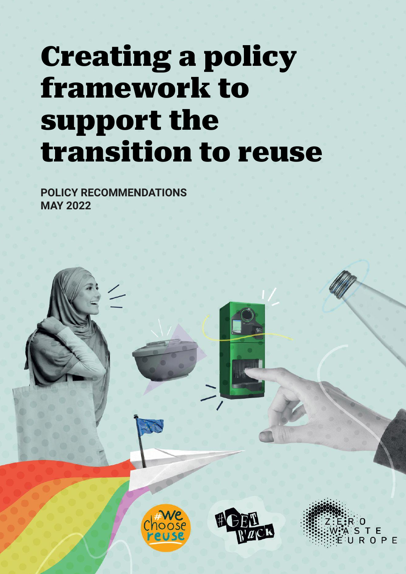## Creating a policy framework to support the transition to reuse

**POLICY RECOMMENDATIONS MAY 2022**

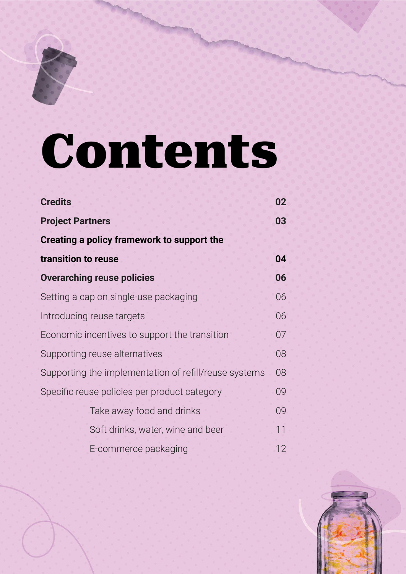# Contents

| <b>Credits</b>                                        | 02 |
|-------------------------------------------------------|----|
| <b>Project Partners</b>                               | 03 |
| Creating a policy framework to support the            |    |
| transition to reuse                                   | 04 |
| <b>Overarching reuse policies</b>                     | 06 |
| Setting a cap on single-use packaging                 | 06 |
| Introducing reuse targets                             | 06 |
| Economic incentives to support the transition         | 07 |
| Supporting reuse alternatives                         | 08 |
| Supporting the implementation of refill/reuse systems | 08 |
| Specific reuse policies per product category          | 09 |
| Take away food and drinks                             | 09 |
| Soft drinks, water, wine and beer                     | 11 |
| E-commerce packaging                                  | 12 |

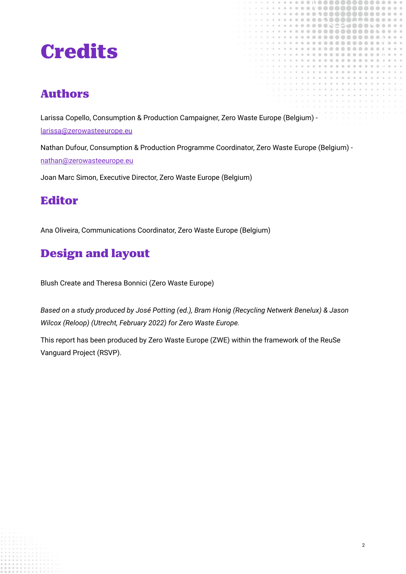## <span id="page-2-0"></span>Credits

#### Authors

Larissa Copello, Consumption & Production Campaigner, Zero Waste Europe (Belgium) [larissa@zerowasteeurope.eu](mailto:larissa@zerowasteeurope.eu)

Nathan Dufour, Consumption & Production Programme Coordinator, Zero Waste Europe (Belgium) [nathan@zerowasteeurope.eu](mailto:nathan@zerowasteeurope.eu)

Joan Marc Simon, Executive Director, Zero Waste Europe (Belgium)

#### Editor

Ana Oliveira, Communications Coordinator, Zero Waste Europe (Belgium)

#### Design and layout

Blush Create and Theresa Bonnici (Zero Waste Europe)

*Based on a study produced by José Potting (ed.), Bram Honig (Recycling Netwerk Benelux) & Jason Wilcox (Reloop) (Utrecht, February 2022) for Zero Waste Europe.*

This report has been produced by Zero Waste Europe (ZWE) within the framework of the ReuSe Vanguard Project (RSVP).

2

 $00000$ 

,,,,,,,

 $0.00000$ 

......  $000$ 

..........

 $0 - 0$  $\alpha$ 

 $\bullet\bullet\bullet\bullet$ 

 $@@@$ 

 $a \oplus a$ 

**COLLEGE** ith.

 $0.00000$ 

 $\circ$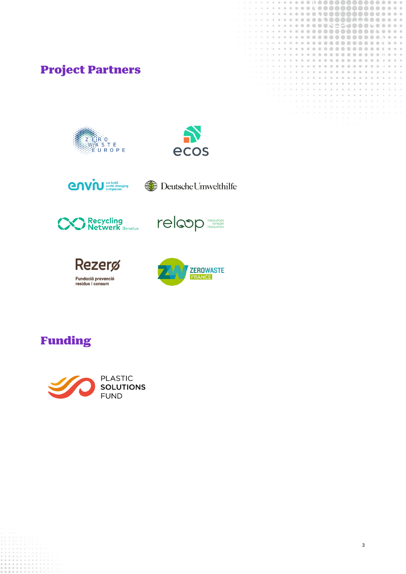#### <span id="page-3-0"></span>Project Partners





ø ö

 $\alpha$  $\circ$   $\circ$ 

**COL** 

 $\alpha$ 

 $\overline{\alpha}$  $\overline{\otimes}$ 

in. 富 **Cold**  $\alpha$  $\alpha$ **Star**  $\overline{a}$ 

ö **i** 

di:

 $\Delta$ 

 $00000000$ 

 $\alpha$ 

980 SS.  $\approx$ 

 $0 0 0 0 0 0 0 0 0 0$ 

,,,,,,,,,

............

 $0.0000000000000$ 

 $0.00000000000$ 

 $000000$ 

 $0000000$ 

ö  $\alpha$ 

 $-0000$ 

 $\alpha$ 

 $\overline{a}$ ö (B)

 $\overline{6}$ ä

**SO** 

 $\overline{a}$ 

i



**CAVIU** We build companies ( Deutsche Umwelthilfe









#### Funding

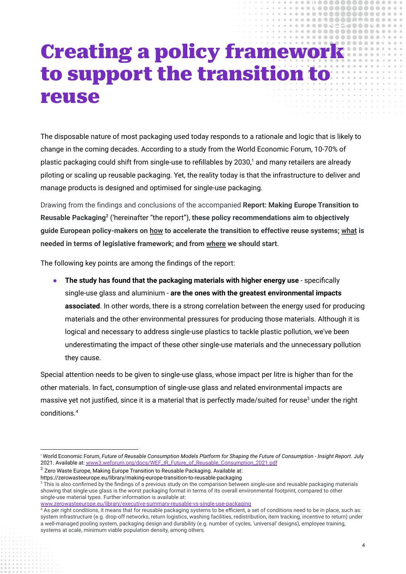### Creating a policy framework to support the transition to reuse

 $0.0$  $\overline{m}$ 

 $0.000029$ 

 $\alpha$ **i**  .......

.............

 $A A A A A A$  $0000000000$ 

53888

The disposable nature of most packaging used today responds to a rationale and logic that is likely to change in the coming decades. According to a study from the World Economic Forum, 10-70% of plastic packaging could shift from single-use to refillables by 2030,<sup>1</sup> and many retailers are already piloting or scaling up reusable packaging. Yet, the reality today is that the infrastructure to deliver and manage products is designed and optimised for single-use packaging.

Drawing from the findings and conclusions of the accompanied **Report: Making Europe Transition to Reusable Packaging<sup>2</sup>** ('hereinafter "the report"), **these policy recommendations aim to objectively guide European policy-makers on how to accelerate the transition to effective reuse systems; what is needed in terms of legislative framework; and from where we should start**.

The following key points are among the findings of the report:

● **The study has found that the packaging materials with higher energy use** - specifically single-use glass and aluminium - **are the ones with the greatest environmental impacts associated**. In other words, there is a strong correlation between the energy used for producing materials and the other environmental pressures for producing those materials. Although it is logical and necessary to address single-use plastics to tackle plastic pollution, we've been underestimating the impact of these other single-use materials and the unnecessary pollution they cause.

Special attention needs to be given to single-use glass, whose impact per litre is higher than for the other materials. In fact, consumption of single-use glass and related environmental impacts are massive vet not justified, since it is a material that is perfectly made/suited for reuse<sup>3</sup> under the right conditions.<sup>4</sup>

<sup>1</sup> World Economic Forum, Future of Reusable Consumption Models Platform for Shaping the Future of Consumption - Insight Report. July 2021. Available at: [www3.weforum.org/docs/WEF\\_IR\\_Future\\_of\\_Reusable\\_Consumption\\_2021.pdf](https://www3.weforum.org/docs/WEF_IR_Future_of_Reusable_Consumption_2021.pdf)

 $2$  Zero Waste Europe, Making Europe Transition to Reusable Packaging. Available at:

<sup>&</sup>lt;sup>3</sup> This is also confirmed by the findings of a previous study on the comparison between single-use and reusable packaging materials https://zerowasteeurope.eu/library/making-europe-transition-to-reusable-packaging

showing that single-use glass is the worst packaging format in terms of its overall environmental footprint, compared to other single-use material types. Further information is available at:

[www.zerowasteeurope.eu/library/executive-summary-reusable-vs-single-use-packaging](http://www.zerowasteeurope.eu/library/executive-summary-reusable-vs-single-use-packaging)

<sup>&</sup>lt;sup>4</sup> As per right conditions, it means that for reusable packaging systems to be efficient, a set of conditions need to be in place, such as: system infrastructure (e.g. drop-off networks, return logistics, washing facilities, redistribution, item tracking, incentive to return) under a well-managed pooling system, packaging design and durability (e.g. number of cycles, 'universal' designs), employee training, systems at scale, minimum viable population density, among others.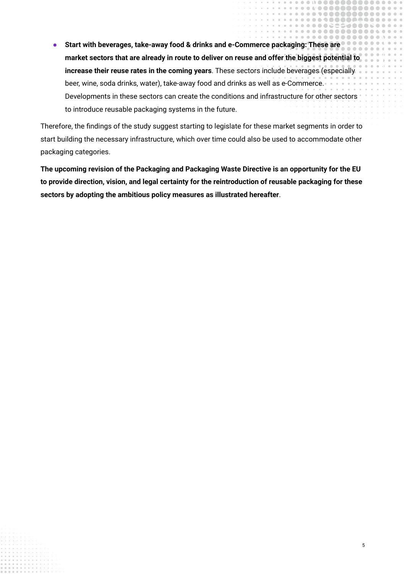● **Start with beverages, take-away food & drinks and e-Commerce packaging: These are market sectors that are already in route to deliver on reuse and offer the biggest potential to increase their reuse rates in the coming years**. These sectors include beverages (especially beer, wine, soda drinks, water), take-away food and drinks as well as e-Commerce. Developments in these sectors can create the conditions and infrastructure for other sectors to introduce reusable packaging systems in the future.

 $\alpha$ ö. ......

Therefore, the findings of the study suggest starting to legislate for these market segments in order to start building the necessary infrastructure, which over time could also be used to accommodate other packaging categories.

**The upcoming revision of the Packaging and Packaging Waste Directive is an opportunity for the EU to provide direction, vision, and legal certainty for the reintroduction of reusable packaging for these sectors by adopting the ambitious policy measures as illustrated hereafter**.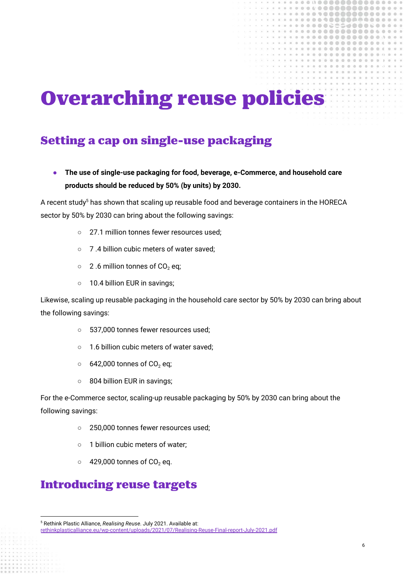## <span id="page-6-0"></span>Overarching reuse policies

 $a \oplus a$ 

 $0.0000000000$ 

,,,,,,,

 $0.0000000000$  $0.0000000$  $0.0000000$  $00$ and and

8000

#### <span id="page-6-1"></span>Setting a cap on single-use packaging

**● The use of single-use packaging for food, beverage, e-Commerce, and household care products should be reduced by 50% (by units) by 2030.**

A recent study<sup>5</sup> has shown that scaling up reusable food and beverage containers in the HORECA sector by 50% by 2030 can bring about the following savings:

- 27.1 million tonnes fewer resources used:
- 7 .4 billion cubic meters of water saved;
- $\circ$  2.6 million tonnes of CO<sub>2</sub> eq;
- 10.4 billion EUR in savings;

Likewise, scaling up reusable packaging in the household care sector by 50% by 2030 can bring about the following savings:

- 537,000 tonnes fewer resources used;
- 1.6 billion cubic meters of water saved;
- $\circ$  642,000 tonnes of CO<sub>2</sub> eq;
- 804 billion EUR in savings;

For the e-Commerce sector, scaling-up reusable packaging by 50% by 2030 can bring about the following savings:

- 250,000 tonnes fewer resources used;
- 1 billion cubic meters of water:
- $\circ$  429,000 tonnes of CO<sub>2</sub> eq.

#### <span id="page-6-2"></span>Introducing reuse targets

<sup>5</sup> Rethink Plastic Alliance, *Realising Reuse*. July 2021. Available at:

[rethinkplasticalliance.eu/wp-content/uploads/2021/07/Realising-Reuse-Final-report-July-2021.pdf](https://rethinkplasticalliance.eu/wp-content/uploads/2021/07/Realising-Reuse-Final-report-July-2021.pdf)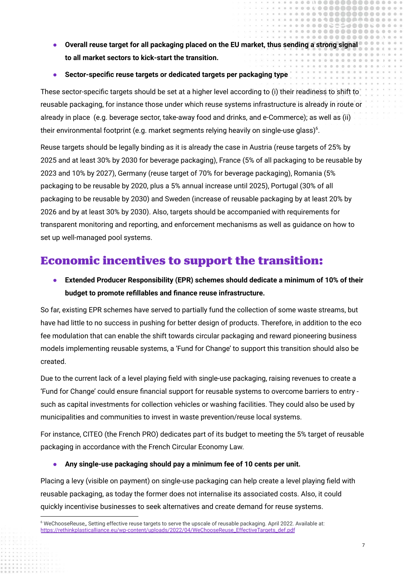**● Overall reuse target for all packaging placed on the EU market, thus sending a strong signal to all market sectors to kick-start the transition.**

 $0.01$ 

,,,,,,,, 

 $C = C$ 

**● Sector-specific reuse targets or dedicated targets per packaging type**

These sector-specific targets should be set at a higher level according to (i) their readiness to shift to reusable packaging, for instance those under which reuse systems infrastructure is already in route or already in place (e.g. beverage sector, take-away food and drinks, and e-Commerce); as well as (ii) their environmental footprint (e.g. market segments relying heavily on single-use glass) $6$ .

Reuse targets should be legally binding as it is already the case in Austria (reuse targets of 25% by 2025 and at least 30% by 2030 for beverage packaging), France (5% of all packaging to be reusable by 2023 and 10% by 2027), Germany (reuse target of 70% for beverage packaging), Romania (5% packaging to be reusable by 2020, plus a 5% annual increase until 2025), Portugal (30% of all packaging to be reusable by 2030) and Sweden (increase of reusable packaging by at least 20% by 2026 and by at least 30% by 2030). Also, targets should be accompanied with requirements for transparent monitoring and reporting, and enforcement mechanisms as well as guidance on how to set up well-managed pool systems.

#### <span id="page-7-0"></span>Economic incentives to support the transition:

**● Extended Producer Responsibility (EPR) schemes should dedicate a minimum of 10% of their budget to promote refillables and finance reuse infrastructure.**

So far, existing EPR schemes have served to partially fund the collection of some waste streams, but have had little to no success in pushing for better design of products. Therefore, in addition to the eco fee modulation that can enable the shift towards circular packaging and reward pioneering business models implementing reusable systems, a 'Fund for Change' to support this transition should also be created.

Due to the current lack of a level playing field with single-use packaging, raising revenues to create a 'Fund for Change' could ensure financial support for reusable systems to overcome barriers to entry such as capital investments for collection vehicles or washing facilities. They could also be used by municipalities and communities to invest in waste prevention/reuse local systems.

For instance, CITEO (the French PRO) dedicates part of its budget to meeting the 5% target of reusable packaging in accordance with the French Circular Economy Law.

**● Any single-use packaging should pay a minimum fee of 10 cents per unit.**

Placing a levy (visible on payment) on single-use packaging can help create a level playing field with reusable packaging, as today the former does not internalise its associated costs. Also, it could quickly incentivise businesses to seek alternatives and create demand for reuse systems.

<sup>6</sup> WeChooseReuse,, Setting effective reuse targets to serve the upscale of reusable packaging. April 2022. Available at: [https://rethinkplasticalliance.eu/wp-content/uploads/2022/04/WeChooseReuse\\_EffectiveTargets\\_def.pdf](https://rethinkplasticalliance.eu/wp-content/uploads/2022/04/WeChooseReuse_EffectiveTargets_def.pdf)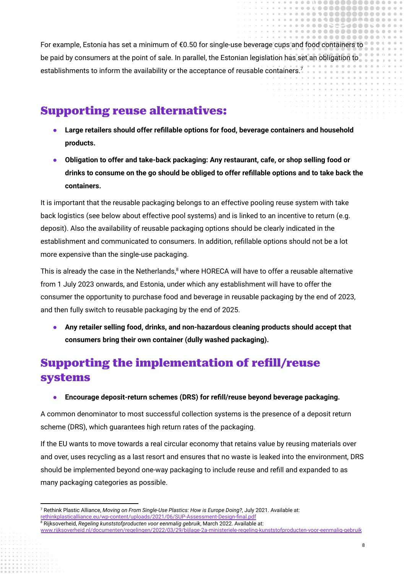For example, Estonia has set a minimum of €0.50 for single-use beverage cups and food containers to be paid by consumers at the point of sale. In parallel, the Estonian legislation has set an obligation to establishments to inform the availability or the acceptance of reusable containers.<sup>7</sup>

 $0.0000$ 

,,,,,,,,,,

 $\sum_{i=1}^{n} a_i$ 

#### <span id="page-8-0"></span>Supporting reuse alternatives:

- **● Large retailers should offer refillable options for food, beverage containers and household products.**
- **● Obligation to offer and take-back packaging: Any restaurant, cafe, or shop selling food or drinks to consume on the go should be obliged to offer refillable options and to take back the containers.**

It is important that the reusable packaging belongs to an effective pooling reuse system with take back logistics (see below about effective pool systems) and is linked to an incentive to return (e.g. deposit). Also the availability of reusable packaging options should be clearly indicated in the establishment and communicated to consumers. In addition, refillable options should not be a lot more expensive than the single-use packaging.

This is already the case in the Netherlands, $8$  where HORECA will have to offer a reusable alternative from 1 July 2023 onwards, and Estonia, under which any establishment will have to offer the consumer the opportunity to purchase food and beverage in reusable packaging by the end of 2023, and then fully switch to reusable packaging by the end of 2025.

**● Any retailer selling food, drinks, and non-hazardous cleaning products should accept that consumers bring their own container (dully washed packaging).**

#### <span id="page-8-1"></span>Supporting the implementation of refill/reuse systems

**● Encourage deposit-return schemes (DRS) for refill/reuse beyond beverage packaging.**

A common denominator to most successful collection systems is the presence of a deposit return scheme (DRS), which guarantees high return rates of the packaging.

If the EU wants to move towards a real circular economy that retains value by reusing materials over and over, uses recycling as a last resort and ensures that no waste is leaked into the environment, DRS should be implemented beyond one-way packaging to include reuse and refill and expanded to as many packaging categories as possible.

<sup>7</sup> Rethink Plastic Alliance, *Moving on From Single-Use Plastics: How is Europe Doing?*, July 2021. Available at: [rethinkplasticalliance.eu/wp-content/uploads/2021/06/SUP-Assessment-Design-final.pdf](https://rethinkplasticalliance.eu/wp-content/uploads/2021/06/SUP-Assessment-Design-final.pdf)

<sup>8</sup> Rijksoverheid, *Regeling kunststofproducten voor eenmalig gebruik*, March 2022. Available at:

[www.rijksoverheid.nl/documenten/regelingen/2022/03/29/bijlage-2a-ministeriele-regeling-kunststofproducten-voor-eenmalig-gebruik](https://www.rijksoverheid.nl/documenten/regelingen/2022/03/29/bijlage-2a-ministeriele-regeling-kunststofproducten-voor-eenmalig-gebruik)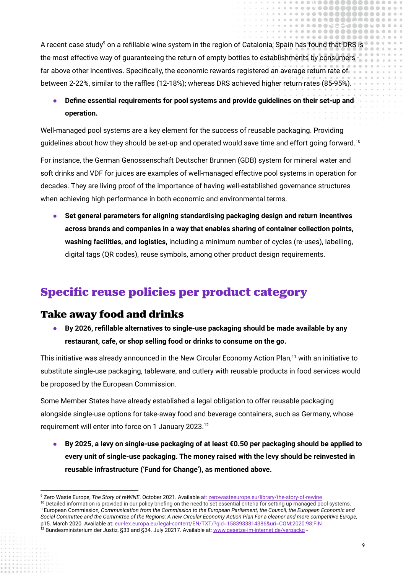A recent case study<sup>9</sup> on a refillable wine system in the region of Catalonia, Spain has found that DRS is the most effective way of guaranteeing the return of empty bottles to establishments by consumers far above other incentives. Specifically, the economic rewards registered an average return rate of between 2-22%, similar to the raffles (12-18%); whereas DRS achieved higher return rates (85-95%).

#### **● Define essential requirements for pool systems and provide guidelines on their set-up and operation.**

Well-managed pool systems are a key element for the success of reusable packaging. Providing guidelines about how they should be set-up and operated would save time and effort going forward.<sup>10</sup>

For instance, the German Genossenschaft Deutscher Brunnen (GDB) system for mineral water and soft drinks and VDF for juices are examples of well-managed effective pool systems in operation for decades. They are living proof of the importance of having well-established governance structures when achieving high performance in both economic and environmental terms.

● **Set general parameters for aligning standardising packaging design and return incentives across brands and companies in a way that enables sharing of container collection points, washing facilities, and logistics,** including a minimum number of cycles (re-uses), labelling, digital tags (QR codes), reuse symbols, among other product design requirements.

#### <span id="page-9-0"></span>Specific reuse policies per product category

#### <span id="page-9-1"></span>Take away food and drinks

**● By 2026, refillable alternatives to single-use packaging should be made available by any restaurant, cafe, or shop selling food or drinks to consume on the go.**

This initiative was already announced in the New Circular Economy Action Plan,<sup>11</sup> with an initiative to substitute single-use packaging, tableware, and cutlery with reusable products in food services would be proposed by the European Commission.

Some Member States have already established a legal obligation to offer reusable packaging alongside single-use options for take-away food and beverage containers, such as Germany, whose requirement will enter into force on 1 January 2023.<sup>12</sup>

**● By 2025, a levy on single-use packaging of at least €0.50 per packaging should be applied to every unit of single-use packaging. The money raised with the levy should be reinvested in reusable infrastructure ('Fund for Change'), as mentioned above.**

.....

. . . . . . . . . . . . . . . . .  $0.24$ 

,,,,,,,,,,

.......

 $\sum_{i=1}^{n} a_i$ 

ä

 $0.0000$ 

 $\alpha$ 

<sup>9</sup> Zero Waste Europe, *The Story of reWINE*. October 2021. Available at: [zerowasteeurope.eu/library/the-story-of-rewine](https://zerowasteeurope.eu/library/the-story-of-rewine/)

<sup>&</sup>quot; European Commission, Communication from the Commission to the European Parliament, the Council, the European Economic and Social Committee and the Committee of the Regions: A new Circular Economy Action Plan For a cleaner and more competitive Europe, p15. March 2020. Available at: [eur-lex.europa.eu/legal-content/EN/TXT/?qid=1583933814386&uri=COM:2020:98:FIN](https://eur-lex.europa.eu/legal-content/EN/TXT/?qid=1583933814386&uri=COM:2020:98:FIN) <sup>10</sup> Detailed information is provided in our policy briefing on the need to set essential criteria for setting up managed pool systems.

<sup>&</sup>lt;sup>12</sup> Bundesministerium der Justiz, §33 and §34. July [20217](https://www.gesetze-im-internet.de/verpackg/). Available at: [www.gesetze-im-internet.de/verpackg](https://www.gesetze-im-internet.de/verpackg/) -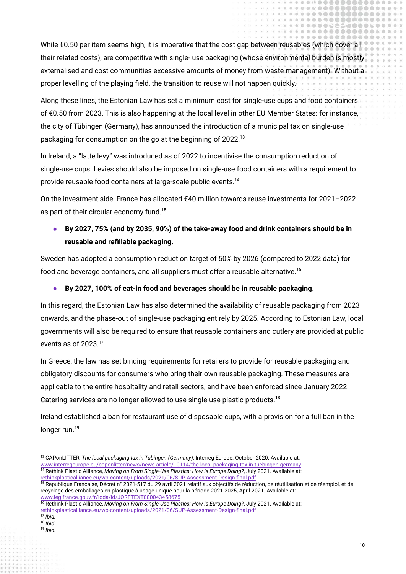While €0.50 per item seems high, it is imperative that the cost gap between reusables (which cover all their related costs), are competitive with single- use packaging (whose environmental burden is mostly externalised and cost communities excessive amounts of money from waste management). Without a proper levelling of the playing field, the transition to reuse will not happen quickly.

Along these lines, the Estonian Law has set a minimum cost for single-use cups and food containers of €0.50 from 2023. This is also happening at the local level in other EU Member States: for instance, the city of Tübingen (Germany), has announced the introduction of a municipal tax on single-use packaging for consumption on the go at the beginning of 2022.<sup>13</sup>

In Ireland, a "latte levy" was introduced as of 2022 to incentivise the consumption reduction of single-use cups. Levies should also be imposed on single-use food containers with a requirement to provide reusable food containers at large-scale public events.<sup>14</sup>

On the investment side, France has allocated €40 million towards reuse investments for 2021–2022 as part of their circular economy fund.<sup>15</sup>

#### **● By 2027, 75% (and by 2035, 90%) of the take-away food and drink containers should be in reusable and refillable packaging.**

Sweden has adopted a consumption reduction target of 50% by 2026 (compared to 2022 data) for food and beverage containers, and all suppliers must offer a reusable alternative.<sup>16</sup>

#### **● By 2027, 100% of eat-in food and beverages should be in reusable packaging.**

In this regard, the Estonian Law has also determined the availability of reusable packaging from 2023 onwards, and the phase-out of single-use packaging entirely by 2025. According to Estonian Law, local governments will also be required to ensure that reusable containers and cutlery are provided at public events as of 2023.<sup>17</sup>

In Greece, the law has set binding requirements for retailers to provide for reusable packaging and obligatory discounts for consumers who bring their own reusable packaging. These measures are applicable to the entire hospitality and retail sectors, and have been enforced since January 2022. Catering services are no longer allowed to use single-use plastic products.<sup>18</sup>

Ireland established a ban for restaurant use of disposable cups, with a provision for a full ban in the longer run.<sup>19</sup>

.....

. . . . . . . . . . . . . . . . .  $\cap$   $\supset$ 

,,,,,,,,,,

 $\sum_{i=1}^{n} a_i$ 

 $\overline{m}$ 

ă

 $0.06$ 

 $\alpha$ 

<sup>14</sup> Rethink Plastic Alliance, *Moving on From Single-Use Plastics: How is Europe Doing?*, July 2021. Available at: <sup>13</sup> CAPonLITTER, *The local packaging tax in Tübingen (Germany)*, Interreg Europe. October 2020. Available at: [www.interregeurope.eu/caponlitter/news/news-article/10114/the-local-packaging-tax-in-tuebingen-germany](https://www.interregeurope.eu/caponlitter/news/news-article/10114/the-local-packaging-tax-in-tuebingen-germany/)

[rethinkplasticalliance.eu/wp-content/uploads/2021/06/SUP-Assessment-Design-final.pdf](https://rethinkplasticalliance.eu/wp-content/uploads/2021/06/SUP-Assessment-Design-final.pdf)

<sup>&</sup>lt;sup>15</sup> Republique Francaise, Décret n° 2021-517 du 29 avril 2021 relatif aux objectifs de réduction, de réutilisation et de réemploi, et de recyclage des emballages en plastique à usage unique pour la période 2021-2025, April 2021. Available at: [www.legifrance.gouv.fr/loda/id/JORFTEXT000043458675](https://www.legifrance.gouv.fr/loda/id/JORFTEXT000043458675)

<sup>16</sup> Rethink Plastic Alliance, *Moving on From Single-Use Plastics: How is Europe Doing?*, July 2021. Available at:

[rethinkplasticalliance.eu/wp-content/uploads/2021/06/SUP-Assessment-Design-final.pdf](https://rethinkplasticalliance.eu/wp-content/uploads/2021/06/SUP-Assessment-Design-final.pdf)

*<sup>17</sup> Ibid.*

<sup>19</sup> *Ibid.* 18 *Ibid*.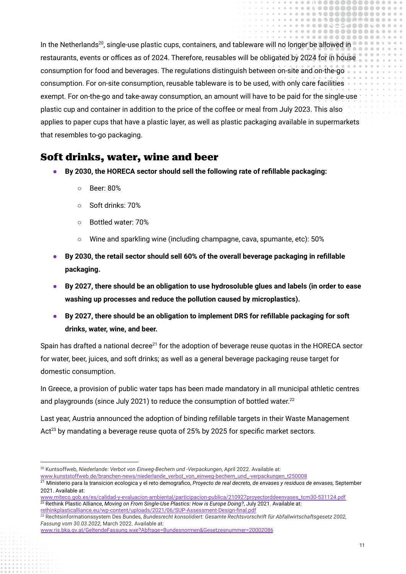In the Netherlands<sup>20</sup>, single-use plastic cups, containers, and tableware will no longer be allowed in restaurants, events or offices as of 2024. Therefore, reusables will be obligated by 2024 for in house consumption for food and beverages. The regulations distinguish between on-site and on-the-go consumption. For on-site consumption, reusable tableware is to be used, with only care facilities exempt. For on-the-go and take-away consumption, an amount will have to be paid for the single-use plastic cup and container in addition to the price of the coffee or meal from July 2023. This also applies to paper cups that have a plastic layer, as well as plastic packaging available in supermarkets that resembles to-go packaging.

#### <span id="page-11-0"></span>Soft drinks, water, wine and beer

- **● By 2030, the HORECA sector should sell the following rate of refillable packaging:**
	- Beer: 80%
	- Soft drinks: 70%
	- Bottled water: 70%
	- $\circ$  Wine and sparkling wine (including champagne, cava, spumante, etc): 50%
- **● By 2030, the retail sector should sell 60% of the overall beverage packaging in refillable packaging.**
- **● By 2027, there should be an obligation to use hydrosoluble glues and labels (in order to ease washing up processes and reduce the pollution caused by microplastics).**
- **● By 2027, there should be an obligation to implement DRS for refillable packaging for soft drinks, water, wine, and beer.**

Spain has drafted a national decree<sup>21</sup> for the adoption of beverage reuse quotas in the HORECA sector for water, beer, juices, and soft drinks; as well as a general beverage packaging reuse target for domestic consumption.

In Greece, a provision of public water taps has been made mandatory in all municipal athletic centres and playgrounds (since July 2021) to reduce the consumption of bottled water.<sup>22</sup>

Last year, Austria announced the adoption of binding refillable targets in their Waste Management Act<sup>23</sup> by mandating a beverage reuse quota of 25% by 2025 for specific market sectors.

[www.kunststoffweb.de/branchen-news/niederlande\\_verbot\\_von\\_einweg-bechern\\_und\\_-verpackungen\\_t250008](https://www.kunststoffweb.de/branchen-news/niederlande_verbot_von_einweg-bechern_und_-verpackungen_t250008)

.....

,,,,,,,,,,  $0<0$ 

**COOOOC**  $A A A$ . . . . .

 $0.01$ 

 $0.06$ 

<sup>20</sup> Kuntsoffweb, *Niederlande: Verbot von Einweg-Bechern und -Verpackungen*, April 2022. Available at:

<sup>21</sup> Ministerio para la transicion ecologica y el reto demografico, *Proyecto de real decreto, de envases y residuos de envases,* September 2021. Available at:

<sup>22</sup> Rethink Plastic Alliance, *Moving on From Single-Use Plastics: How is Europe Doing?*, July 2021. Available at: [www.miteco.gob.es/es/calidad-y-evaluacion-ambiental/participacion-publica/210927proyectorddeenvases\\_tcm30-531124.pdf](https://www.miteco.gob.es/es/calidad-y-evaluacion-ambiental/participacion-publica/210927proyectorddeenvases_tcm30-531124.pdf)

[rethinkplasticalliance.eu/wp-content/uploads/2021/06/SUP-Assessment-Design-final.pdf](https://rethinkplasticalliance.eu/wp-content/uploads/2021/06/SUP-Assessment-Design-final.pdf)

<sup>23</sup> Rechtsinformationssystem Des Bundes, *Bundesrecht konsolidiert: Gesamte Rechtsvorschrift für Abfallwirtschaftsgesetz 2002, Fassung vom 30.03.2022*, March 2022. Available at:

[www.ris.bka.gv.at/GeltendeFassung.wxe?Abfrage=Bundesnormen&Gesetzesnummer=20002086](https://www.ris.bka.gv.at/GeltendeFassung.wxe?Abfrage=Bundesnormen&Gesetzesnummer=20002086)